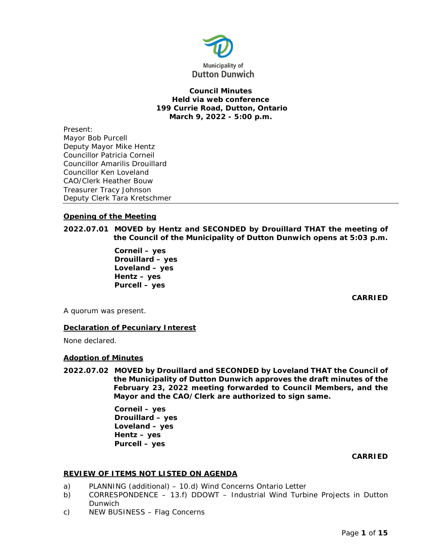

# **Council Minutes Held via web conference 199 Currie Road, Dutton, Ontario March 9, 2022 - 5:00 p.m.**

Present: Mayor Bob Purcell Deputy Mayor Mike Hentz Councillor Patricia Corneil Councillor Amarilis Drouillard Councillor Ken Loveland CAO/Clerk Heather Bouw Treasurer Tracy Johnson Deputy Clerk Tara Kretschmer

# **Opening of the Meeting**

**2022.07.01 MOVED by Hentz and SECONDED by Drouillard THAT the meeting of the Council of the Municipality of Dutton Dunwich opens at 5:03 p.m.**

> **Corneil – yes Drouillard – yes Loveland – yes Hentz – yes Purcell – yes**

> > **CARRIED**

A quorum was present.

# **Declaration of Pecuniary Interest**

None declared.

### **Adoption of Minutes**

**2022.07.02 MOVED by Drouillard and SECONDED by Loveland THAT the Council of the Municipality of Dutton Dunwich approves the draft minutes of the February 23, 2022 meeting forwarded to Council Members, and the Mayor and the CAO/Clerk are authorized to sign same.**

> **Corneil – yes Drouillard – yes Loveland – yes Hentz – yes Purcell – yes**

### **CARRIED**

# **REVIEW OF ITEMS NOT LISTED ON AGENDA**

- a) PLANNING (additional) 10.d) Wind Concerns Ontario Letter
- b) CORRESPONDENCE 13.f) DDOWT Industrial Wind Turbine Projects in Dutton Dunwich
- c) NEW BUSINESS Flag Concerns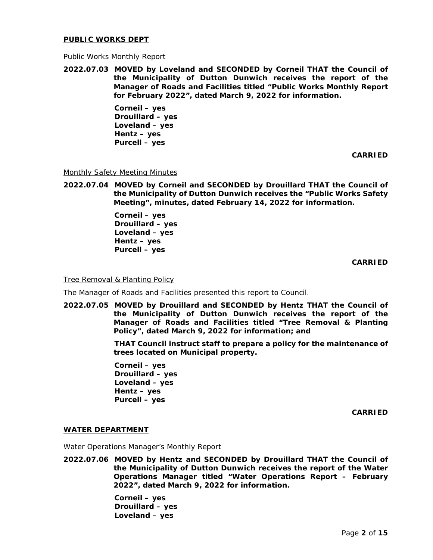### **PUBLIC WORKS DEPT**

### Public Works Monthly Report

**2022.07.03 MOVED by Loveland and SECONDED by Corneil THAT the Council of the Municipality of Dutton Dunwich receives the report of the Manager of Roads and Facilities titled "Public Works Monthly Report for February 2022", dated March 9, 2022 for information.** 

> **Corneil – yes Drouillard – yes Loveland – yes Hentz – yes Purcell – yes**

> > **CARRIED**

Monthly Safety Meeting Minutes

**2022.07.04 MOVED by Corneil and SECONDED by Drouillard THAT the Council of the Municipality of Dutton Dunwich receives the "Public Works Safety Meeting", minutes, dated February 14, 2022 for information.** 

> **Corneil – yes Drouillard – yes Loveland – yes Hentz – yes Purcell – yes**

> > **CARRIED**

Tree Removal & Planting Policy

The Manager of Roads and Facilities presented this report to Council.

**2022.07.05 MOVED by Drouillard and SECONDED by Hentz THAT the Council of the Municipality of Dutton Dunwich receives the report of the Manager of Roads and Facilities titled "Tree Removal & Planting Policy", dated March 9, 2022 for information; and**

> **THAT Council instruct staff to prepare a policy for the maintenance of trees located on Municipal property.**

**Corneil – yes Drouillard – yes Loveland – yes Hentz – yes Purcell – yes** 

**CARRIED**

### **WATER DEPARTMENT**

Water Operations Manager's Monthly Report

**2022.07.06 MOVED by Hentz and SECONDED by Drouillard THAT the Council of the Municipality of Dutton Dunwich receives the report of the Water Operations Manager titled "Water Operations Report – February 2022", dated March 9, 2022 for information.** 

> **Corneil – yes Drouillard – yes Loveland – yes**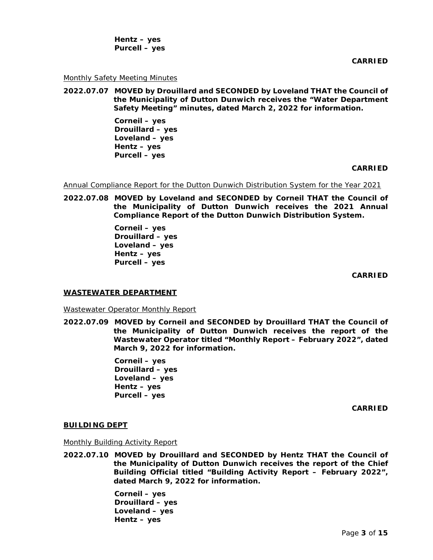**Hentz – yes Purcell – yes** 

**CARRIED**

#### Monthly Safety Meeting Minutes

**2022.07.07 MOVED by Drouillard and SECONDED by Loveland THAT the Council of the Municipality of Dutton Dunwich receives the "Water Department Safety Meeting" minutes, dated March 2, 2022 for information.** 

> **Corneil – yes Drouillard – yes Loveland – yes Hentz – yes Purcell – yes**

#### **CARRIED**

Annual Compliance Report for the Dutton Dunwich Distribution System for the Year 2021

**2022.07.08 MOVED by Loveland and SECONDED by Corneil THAT the Council of the Municipality of Dutton Dunwich receives the 2021 Annual Compliance Report of the Dutton Dunwich Distribution System.**

> **Corneil – yes Drouillard – yes Loveland – yes Hentz – yes Purcell – yes**

> > **CARRIED**

### **WASTEWATER DEPARTMENT**

Wastewater Operator Monthly Report

**2022.07.09 MOVED by Corneil and SECONDED by Drouillard THAT the Council of the Municipality of Dutton Dunwich receives the report of the Wastewater Operator titled "Monthly Report – February 2022", dated March 9, 2022 for information.** 

> **Corneil – yes Drouillard – yes Loveland – yes Hentz – yes Purcell – yes**

> > **CARRIED**

#### **BUILDING DEPT**

Monthly Building Activity Report

**2022.07.10 MOVED by Drouillard and SECONDED by Hentz THAT the Council of the Municipality of Dutton Dunwich receives the report of the Chief Building Official titled "Building Activity Report – February 2022", dated March 9, 2022 for information.** 

> **Corneil – yes Drouillard – yes Loveland – yes Hentz – yes**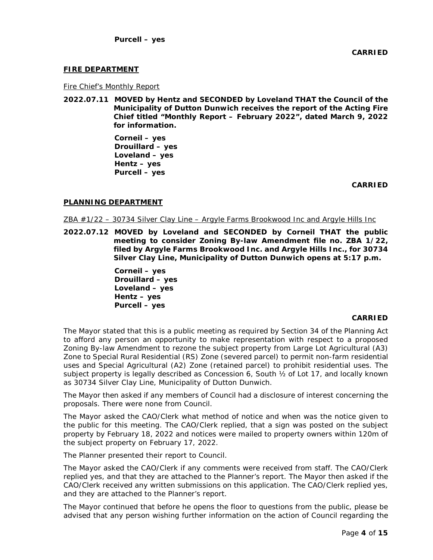# **FIRE DEPARTMENT**

Fire Chief's Monthly Report

**2022.07.11 MOVED by Hentz and SECONDED by Loveland THAT the Council of the Municipality of Dutton Dunwich receives the report of the Acting Fire Chief titled "Monthly Report – February 2022", dated March 9, 2022 for information.**

> **Corneil – yes Drouillard – yes Loveland – yes Hentz – yes Purcell – yes**

> > **CARRIED**

# **PLANNING DEPARTMENT**

ZBA #1/22 – 30734 Silver Clay Line – Argyle Farms Brookwood Inc and Argyle Hills Inc

**2022.07.12 MOVED by Loveland and SECONDED by Corneil THAT the public meeting to consider Zoning By-law Amendment file no. ZBA 1/22, filed by Argyle Farms Brookwood Inc. and Argyle Hills Inc., for 30734 Silver Clay Line, Municipality of Dutton Dunwich opens at 5:17 p.m.**

> **Corneil – yes Drouillard – yes Loveland – yes Hentz – yes Purcell – yes**

### **CARRIED**

The Mayor stated that this is a public meeting as required by Section 34 of the Planning Act to afford any person an opportunity to make representation with respect to a proposed Zoning By-law Amendment to rezone the subject property from Large Lot Agricultural (A3) Zone to Special Rural Residential (RS) Zone (severed parcel) to permit non-farm residential uses and Special Agricultural (A2) Zone (retained parcel) to prohibit residential uses. The subject property is legally described as Concession 6, South ½ of Lot 17, and locally known as 30734 Silver Clay Line, Municipality of Dutton Dunwich.

The Mayor then asked if any members of Council had a disclosure of interest concerning the proposals. There were none from Council.

The Mayor asked the CAO/Clerk what method of notice and when was the notice given to the public for this meeting. The CAO/Clerk replied, that a sign was posted on the subject property by February 18, 2022 and notices were mailed to property owners within 120m of the subject property on February 17, 2022.

The Planner presented their report to Council.

The Mayor asked the CAO/Clerk if any comments were received from staff. The CAO/Clerk replied yes, and that they are attached to the Planner's report. The Mayor then asked if the CAO/Clerk received any written submissions on this application. The CAO/Clerk replied yes, and they are attached to the Planner's report.

The Mayor continued that before he opens the floor to questions from the public, please be advised that any person wishing further information on the action of Council regarding the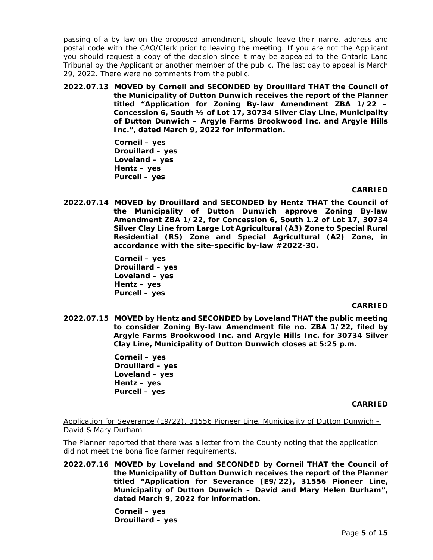passing of a by-law on the proposed amendment, should leave their name, address and postal code with the CAO/Clerk prior to leaving the meeting. If you are not the Applicant you should request a copy of the decision since it may be appealed to the Ontario Land Tribunal by the Applicant or another member of the public. The last day to appeal is March 29, 2022. There were no comments from the public.

**2022.07.13 MOVED by Corneil and SECONDED by Drouillard THAT the Council of the Municipality of Dutton Dunwich receives the report of the Planner titled "Application for Zoning By-law Amendment ZBA 1/22 – Concession 6, South ½ of Lot 17, 30734 Silver Clay Line, Municipality of Dutton Dunwich – Argyle Farms Brookwood Inc. and Argyle Hills Inc.", dated March 9, 2022 for information.**

> **Corneil – yes Drouillard – yes Loveland – yes Hentz – yes Purcell – yes**

> > **CARRIED**

**2022.07.14 MOVED by Drouillard and SECONDED by Hentz THAT the Council of the Municipality of Dutton Dunwich approve Zoning By-law Amendment ZBA 1/22, for Concession 6, South 1.2 of Lot 17, 30734 Silver Clay Line from Large Lot Agricultural (A3) Zone to Special Rural Residential (RS) Zone and Special Agricultural (A2) Zone, in accordance with the site-specific by-law #2022-30.**

> **Corneil – yes Drouillard – yes Loveland – yes Hentz – yes Purcell – yes**

### **CARRIED**

**2022.07.15 MOVED by Hentz and SECONDED by Loveland THAT the public meeting to consider Zoning By-law Amendment file no. ZBA 1/22, filed by Argyle Farms Brookwood Inc. and Argyle Hills Inc. for 30734 Silver Clay Line, Municipality of Dutton Dunwich closes at 5:25 p.m.**

> **Corneil – yes Drouillard – yes Loveland – yes Hentz – yes Purcell – yes**

### **CARRIED**

Application for Severance (E9/22), 31556 Pioneer Line, Municipality of Dutton Dunwich – David & Mary Durham

The Planner reported that there was a letter from the County noting that the application did not meet the bona fide farmer requirements.

**2022.07.16 MOVED by Loveland and SECONDED by Corneil THAT the Council of the Municipality of Dutton Dunwich receives the report of the Planner titled "Application for Severance (E9/22), 31556 Pioneer Line, Municipality of Dutton Dunwich – David and Mary Helen Durham", dated March 9, 2022 for information.** 

> **Corneil – yes Drouillard – yes**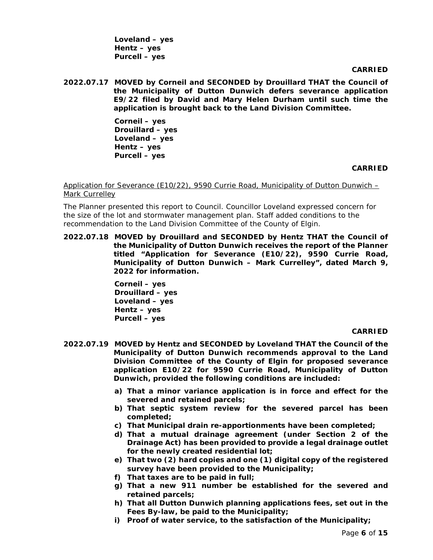**Loveland – yes Hentz – yes Purcell – yes** 

**CARRIED**

**2022.07.17 MOVED by Corneil and SECONDED by Drouillard THAT the Council of the Municipality of Dutton Dunwich defers severance application E9/22 filed by David and Mary Helen Durham until such time the application is brought back to the Land Division Committee.**

> **Corneil – yes Drouillard – yes Loveland – yes Hentz – yes Purcell – yes**

> > **CARRIED**

Application for Severance (E10/22), 9590 Currie Road, Municipality of Dutton Dunwich – Mark Currelley

The Planner presented this report to Council. Councillor Loveland expressed concern for the size of the lot and stormwater management plan. Staff added conditions to the recommendation to the Land Division Committee of the County of Elgin.

**2022.07.18 MOVED by Drouillard and SECONDED by Hentz THAT the Council of the Municipality of Dutton Dunwich receives the report of the Planner titled "Application for Severance (E10/22), 9590 Currie Road, Municipality of Dutton Dunwich – Mark Currelley", dated March 9, 2022 for information.** 

> **Corneil – yes Drouillard – yes Loveland – yes Hentz – yes Purcell – yes**

### **CARRIED**

- **2022.07.19 MOVED by Hentz and SECONDED by Loveland THAT the Council of the Municipality of Dutton Dunwich recommends approval to the Land Division Committee of the County of Elgin for proposed severance application E10/22 for 9590 Currie Road, Municipality of Dutton Dunwich, provided the following conditions are included:**
	- **a) That a minor variance application is in force and effect for the severed and retained parcels;**
	- **b) That septic system review for the severed parcel has been completed;**
	- **c) That Municipal drain re-apportionments have been completed;**
	- **d) That a mutual drainage agreement (under Section 2 of the Drainage Act) has been provided to provide a legal drainage outlet for the newly created residential lot;**
	- **e) That two (2) hard copies and one (1) digital copy of the registered survey have been provided to the Municipality;**
	- **f) That taxes are to be paid in full;**
	- **g) That a new 911 number be established for the severed and retained parcels;**
	- **h) That all Dutton Dunwich planning applications fees, set out in the Fees By-law, be paid to the Municipality;**
	- **i) Proof of water service, to the satisfaction of the Municipality;**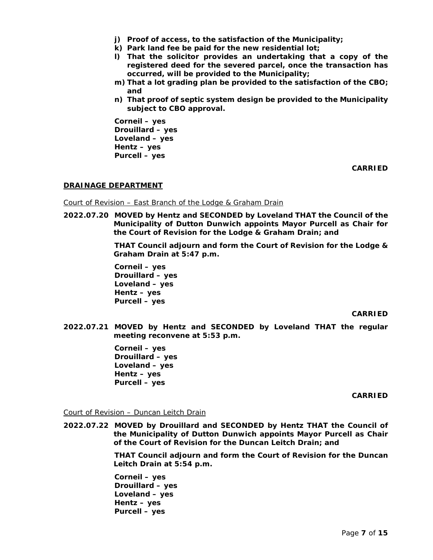- **j) Proof of access, to the satisfaction of the Municipality;**
- **k) Park land fee be paid for the new residential lot;**
- **l) That the solicitor provides an undertaking that a copy of the registered deed for the severed parcel, once the transaction has occurred, will be provided to the Municipality;**
- **m) That a lot grading plan be provided to the satisfaction of the CBO; and**
- **n) That proof of septic system design be provided to the Municipality subject to CBO approval.**

**Corneil – yes Drouillard – yes Loveland – yes Hentz – yes Purcell – yes** 

**CARRIED**

# **DRAINAGE DEPARTMENT**

### Court of Revision – East Branch of the Lodge & Graham Drain

**2022.07.20 MOVED by Hentz and SECONDED by Loveland THAT the Council of the Municipality of Dutton Dunwich appoints Mayor Purcell as Chair for the Court of Revision for the Lodge & Graham Drain; and**

> **THAT Council adjourn and form the Court of Revision for the Lodge & Graham Drain at 5:47 p.m.**

**Corneil – yes Drouillard – yes Loveland – yes Hentz – yes Purcell – yes** 

### **CARRIED**

**2022.07.21 MOVED by Hentz and SECONDED by Loveland THAT the regular meeting reconvene at 5:53 p.m.**

> **Corneil – yes Drouillard – yes Loveland – yes Hentz – yes Purcell – yes**

> > **CARRIED**

### Court of Revision – Duncan Leitch Drain

**2022.07.22 MOVED by Drouillard and SECONDED by Hentz THAT the Council of the Municipality of Dutton Dunwich appoints Mayor Purcell as Chair of the Court of Revision for the Duncan Leitch Drain; and**

> **THAT Council adjourn and form the Court of Revision for the Duncan Leitch Drain at 5:54 p.m.**

**Corneil – yes Drouillard – yes Loveland – yes Hentz – yes Purcell – yes**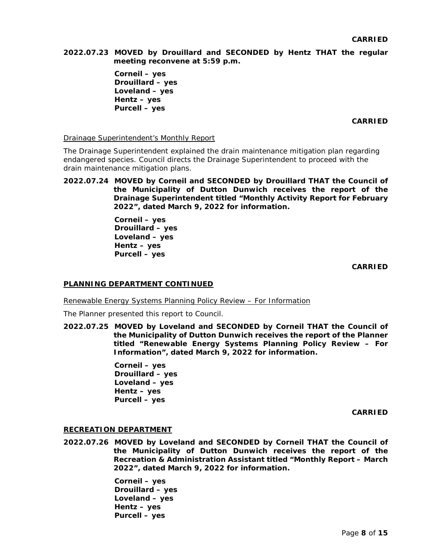**2022.07.23 MOVED by Drouillard and SECONDED by Hentz THAT the regular meeting reconvene at 5:59 p.m.**

> **Corneil – yes Drouillard – yes Loveland – yes Hentz – yes Purcell – yes**

> > **CARRIED**

Drainage Superintendent's Monthly Report

The Drainage Superintendent explained the drain maintenance mitigation plan regarding endangered species. Council directs the Drainage Superintendent to proceed with the drain maintenance mitigation plans.

**2022.07.24 MOVED by Corneil and SECONDED by Drouillard THAT the Council of the Municipality of Dutton Dunwich receives the report of the Drainage Superintendent titled "Monthly Activity Report for February 2022", dated March 9, 2022 for information.** 

> **Corneil – yes Drouillard – yes Loveland – yes Hentz – yes Purcell – yes**

> > **CARRIED**

### **PLANNING DEPARTMENT CONTINUED**

Renewable Energy Systems Planning Policy Review – For Information

The Planner presented this report to Council.

**2022.07.25 MOVED by Loveland and SECONDED by Corneil THAT the Council of the Municipality of Dutton Dunwich receives the report of the Planner titled "Renewable Energy Systems Planning Policy Review – For Information", dated March 9, 2022 for information.** 

> **Corneil – yes Drouillard – yes Loveland – yes Hentz – yes Purcell – yes**

> > **CARRIED**

### **RECREATION DEPARTMENT**

**2022.07.26 MOVED by Loveland and SECONDED by Corneil THAT the Council of the Municipality of Dutton Dunwich receives the report of the Recreation & Administration Assistant titled "Monthly Report – March 2022", dated March 9, 2022 for information.** 

> **Corneil – yes Drouillard – yes Loveland – yes Hentz – yes Purcell – yes**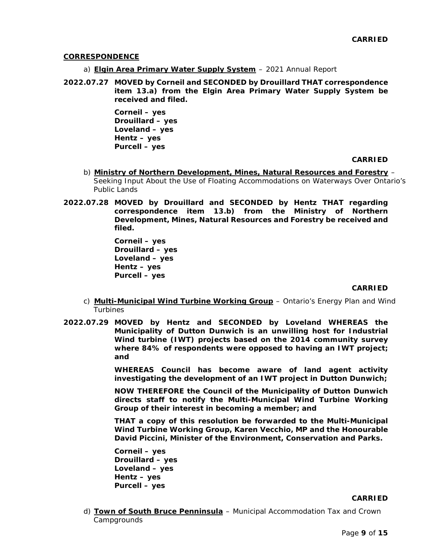### **CORRESPONDENCE**

- a) **Elgin Area Primary Water Supply System** 2021 Annual Report
- **2022.07.27 MOVED by Corneil and SECONDED by Drouillard THAT correspondence item 13.a) from the Elgin Area Primary Water Supply System be received and filed.**

**Corneil – yes Drouillard – yes Loveland – yes Hentz – yes Purcell – yes** 

## **CARRIED**

- b) Ministry of Northern Development, Mines, Natural Resources and Forestry -Seeking Input About the Use of Floating Accommodations on Waterways Over Ontario's Public Lands
- **2022.07.28 MOVED by Drouillard and SECONDED by Hentz THAT regarding correspondence item 13.b) from the Ministry of Northern Development, Mines, Natural Resources and Forestry be received and filed.**

**Corneil – yes Drouillard – yes Loveland – yes Hentz – yes Purcell – yes** 

#### **CARRIED**

- c) **Multi-Municipal Wind Turbine Working Group** Ontario's Energy Plan and Wind Turbines
- **2022.07.29 MOVED by Hentz and SECONDED by Loveland WHEREAS the Municipality of Dutton Dunwich is an unwilling host for Industrial Wind turbine (IWT) projects based on the 2014 community survey where 84% of respondents were opposed to having an IWT project; and**

**WHEREAS Council has become aware of land agent activity investigating the development of an IWT project in Dutton Dunwich;**

**NOW THEREFORE the Council of the Municipality of Dutton Dunwich directs staff to notify the Multi-Municipal Wind Turbine Working Group of their interest in becoming a member; and**

**THAT a copy of this resolution be forwarded to the Multi-Municipal Wind Turbine Working Group, Karen Vecchio, MP and the Honourable David Piccini, Minister of the Environment, Conservation and Parks.**

**Corneil – yes Drouillard – yes Loveland – yes Hentz – yes Purcell – yes** 

#### **CARRIED**

d) **Town of South Bruce Penninsula** – Municipal Accommodation Tax and Crown **Campgrounds**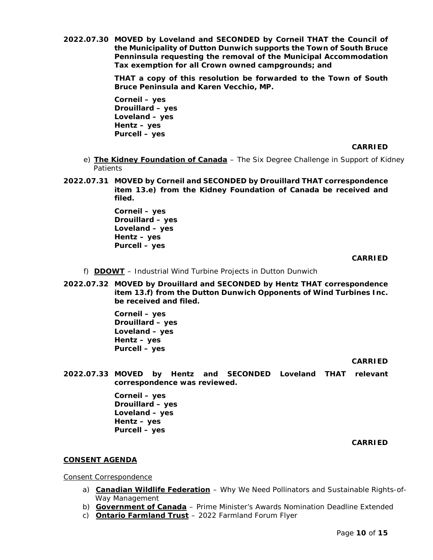**2022.07.30 MOVED by Loveland and SECONDED by Corneil THAT the Council of the Municipality of Dutton Dunwich supports the Town of South Bruce Penninsula requesting the removal of the Municipal Accommodation Tax exemption for all Crown owned campgrounds; and**

> **THAT a copy of this resolution be forwarded to the Town of South Bruce Peninsula and Karen Vecchio, MP.**

**Corneil – yes Drouillard – yes Loveland – yes Hentz – yes Purcell – yes** 

**CARRIED**

- e) **The Kidney Foundation of Canada** The Six Degree Challenge in Support of Kidney **Patients**
- **2022.07.31 MOVED by Corneil and SECONDED by Drouillard THAT correspondence item 13.e) from the Kidney Foundation of Canada be received and filed.**

**Corneil – yes Drouillard – yes Loveland – yes Hentz – yes Purcell – yes** 

**CARRIED**

- f) **DDOWT** Industrial Wind Turbine Projects in Dutton Dunwich
- **2022.07.32 MOVED by Drouillard and SECONDED by Hentz THAT correspondence item 13.f) from the Dutton Dunwich Opponents of Wind Turbines Inc. be received and filed.**

**Corneil – yes Drouillard – yes Loveland – yes Hentz – yes Purcell – yes** 

**CARRIED**

**2022.07.33 MOVED by Hentz and SECONDED Loveland THAT relevant correspondence was reviewed.**

> **Corneil – yes Drouillard – yes Loveland – yes Hentz – yes Purcell – yes**

> > **CARRIED**

# **CONSENT AGENDA**

Consent Correspondence

- a) **Canadian Wildlife Federation** Why We Need Pollinators and Sustainable Rights-of-Way Management
- b) **Government of Canada** Prime Minister's Awards Nomination Deadline Extended
- c) **Ontario Farmland Trust** 2022 Farmland Forum Flyer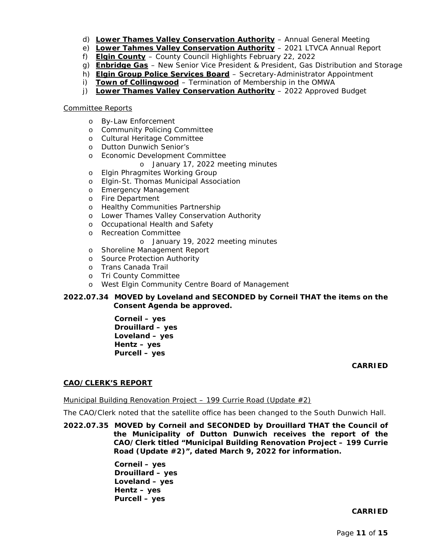- d) Lower Thames Valley Conservation Authority Annual General Meeting
- e) Lower Tahmes Valley Conservation Authority 2021 LTVCA Annual Report
- f) **Elgin County** County Council Highlights February 22, 2022
- g) **Enbridge Gas** New Senior Vice President & President, Gas Distribution and Storage
- h) **Elgin Group Police Services Board** Secretary-Administrator Appointment
- i) Town of Collingwood Termination of Membership in the OMWA
- j) **Lower Thames Valley Conservation Authority** 2022 Approved Budget

## Committee Reports

- o By-Law Enforcement
- o Community Policing Committee
- o Cultural Heritage Committee
- o Dutton Dunwich Senior's
- o Economic Development Committee
	- o January 17, 2022 meeting minutes
- o Elgin Phragmites Working Group
- o Elgin-St. Thomas Municipal Association
- o Emergency Management
- o Fire Department
- o Healthy Communities Partnership
- o Lower Thames Valley Conservation Authority
- o Occupational Health and Safety
- o Recreation Committee
	- o January 19, 2022 meeting minutes
- o Shoreline Management Report
- o Source Protection Authority
- o Trans Canada Trail
- o Tri County Committee
- o West Elgin Community Centre Board of Management

# **2022.07.34 MOVED by Loveland and SECONDED by Corneil THAT the items on the Consent Agenda be approved.**

**Corneil – yes Drouillard – yes Loveland – yes Hentz – yes Purcell – yes** 

### **CARRIED**

# **CAO/CLERK'S REPORT**

### Municipal Building Renovation Project – 199 Currie Road (Update  $\#2$ )

The CAO/Clerk noted that the satellite office has been changed to the South Dunwich Hall.

**2022.07.35 MOVED by Corneil and SECONDED by Drouillard THAT the Council of the Municipality of Dutton Dunwich receives the report of the CAO/Clerk titled "Municipal Building Renovation Project – 199 Currie Road (Update #2)", dated March 9, 2022 for information.** 

> **Corneil – yes Drouillard – yes Loveland – yes Hentz – yes Purcell – yes**

### **CARRIED**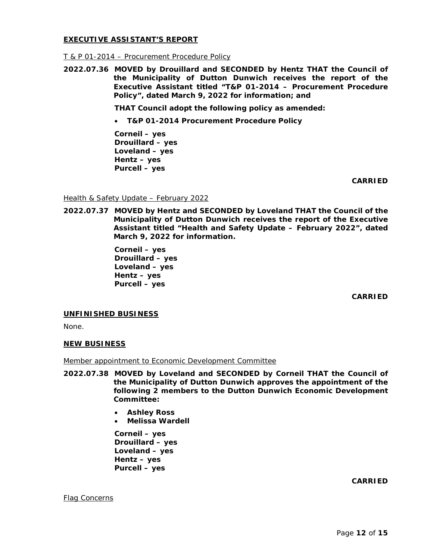### **EXECUTIVE ASSISTANT'S REPORT**

### T & P 01-2014 – Procurement Procedure Policy

**2022.07.36 MOVED by Drouillard and SECONDED by Hentz THAT the Council of the Municipality of Dutton Dunwich receives the report of the Executive Assistant titled "T&P 01-2014 – Procurement Procedure Policy", dated March 9, 2022 for information; and**

**THAT Council adopt the following policy as amended:**

• **T&P 01-2014 Procurement Procedure Policy**

**Corneil – yes Drouillard – yes Loveland – yes Hentz – yes Purcell – yes** 

**CARRIED**

Health & Safety Update – February 2022

**2022.07.37 MOVED by Hentz and SECONDED by Loveland THAT the Council of the Municipality of Dutton Dunwich receives the report of the Executive Assistant titled "Health and Safety Update – February 2022", dated March 9, 2022 for information.** 

> **Corneil – yes Drouillard – yes Loveland – yes Hentz – yes Purcell – yes**

> > **CARRIED**

### **UNFINISHED BUSINESS**

None.

### **NEW BUSINESS**

Member appointment to Economic Development Committee

- **2022.07.38 MOVED by Loveland and SECONDED by Corneil THAT the Council of the Municipality of Dutton Dunwich approves the appointment of the following 2 members to the Dutton Dunwich Economic Development Committee:**
	- **Ashley Ross**
	- **Melissa Wardell**

**Corneil – yes Drouillard – yes Loveland – yes Hentz – yes Purcell – yes** 

**CARRIED**

Flag Concerns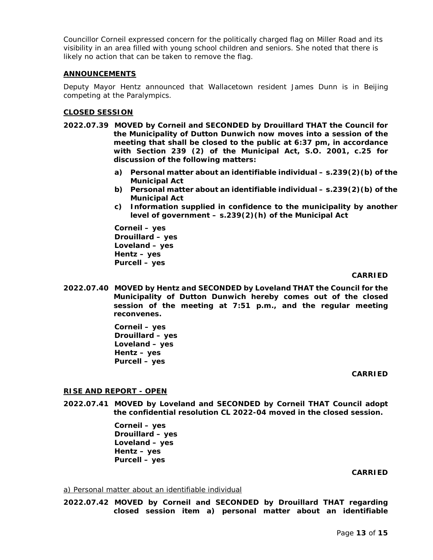Councillor Corneil expressed concern for the politically charged flag on Miller Road and its visibility in an area filled with young school children and seniors. She noted that there is likely no action that can be taken to remove the flag.

# **ANNOUNCEMENTS**

Deputy Mayor Hentz announced that Wallacetown resident James Dunn is in Beijing competing at the Paralympics.

# **CLOSED SESSION**

- **2022.07.39 MOVED by Corneil and SECONDED by Drouillard THAT the Council for the Municipality of Dutton Dunwich now moves into a session of the meeting that shall be closed to the public at 6:37 pm, in accordance with Section 239 (2) of the Municipal Act, S.O. 2001, c.25 for discussion of the following matters:**
	- **a) Personal matter about an identifiable individual – s.239(2)(b) of the Municipal Act**
	- **b) Personal matter about an identifiable individual – s.239(2)(b) of the Municipal Act**
	- **c) Information supplied in confidence to the municipality by another level of government – s.239(2)(h) of the Municipal Act**

**Corneil – yes Drouillard – yes Loveland – yes Hentz – yes Purcell – yes**

# **CARRIED**

**2022.07.40 MOVED by Hentz and SECONDED by Loveland THAT the Council for the Municipality of Dutton Dunwich hereby comes out of the closed session of the meeting at 7:51 p.m., and the regular meeting reconvenes.**

> **Corneil – yes Drouillard – yes Loveland – yes Hentz – yes Purcell – yes**

### **CARRIED**

# **RISE AND REPORT - OPEN**

**2022.07.41 MOVED by Loveland and SECONDED by Corneil THAT Council adopt the confidential resolution CL 2022-04 moved in the closed session.**

> **Corneil – yes Drouillard – yes Loveland – yes Hentz – yes Purcell – yes**

### **CARRIED**

#### a) Personal matter about an identifiable individual

**2022.07.42 MOVED by Corneil and SECONDED by Drouillard THAT regarding closed session item a) personal matter about an identifiable**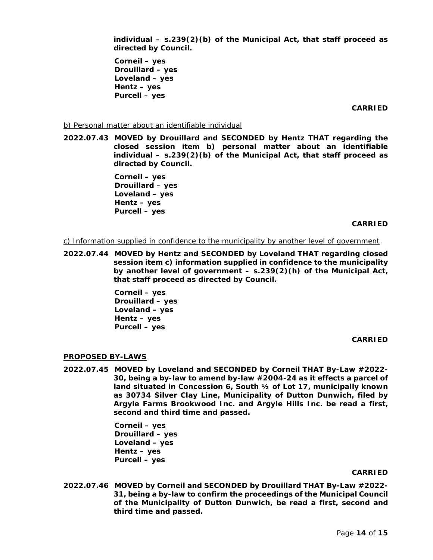**individual – s.239(2)(b) of the Municipal Act, that staff proceed as directed by Council.** 

**Corneil – yes Drouillard – yes Loveland – yes Hentz – yes Purcell – yes** 

**CARRIED**

b) Personal matter about an identifiable individual

**2022.07.43 MOVED by Drouillard and SECONDED by Hentz THAT regarding the closed session item b) personal matter about an identifiable individual – s.239(2)(b) of the Municipal Act, that staff proceed as directed by Council.**

> **Corneil – yes Drouillard – yes Loveland – yes Hentz – yes Purcell – yes**

### **CARRIED**

c) Information supplied in confidence to the municipality by another level of government

**2022.07.44 MOVED by Hentz and SECONDED by Loveland THAT regarding closed session item c) information supplied in confidence to the municipality by another level of government – s.239(2)(h) of the Municipal Act, that staff proceed as directed by Council.** 

> **Corneil – yes Drouillard – yes Loveland – yes Hentz – yes Purcell – yes**

> > **CARRIED**

#### **PROPOSED BY-LAWS**

**2022.07.45 MOVED by Loveland and SECONDED by Corneil THAT By-Law #2022- 30, being a by-law to amend by-law #2004-24 as it effects a parcel of land situated in Concession 6, South ½ of Lot 17, municipally known as 30734 Silver Clay Line, Municipality of Dutton Dunwich, filed by Argyle Farms Brookwood Inc. and Argyle Hills Inc. be read a first, second and third time and passed.**

> **Corneil – yes Drouillard – yes Loveland – yes Hentz – yes Purcell – yes**

#### **CARRIED**

**2022.07.46 MOVED by Corneil and SECONDED by Drouillard THAT By-Law #2022- 31, being a by-law to confirm the proceedings of the Municipal Council of the Municipality of Dutton Dunwich, be read a first, second and third time and passed.**